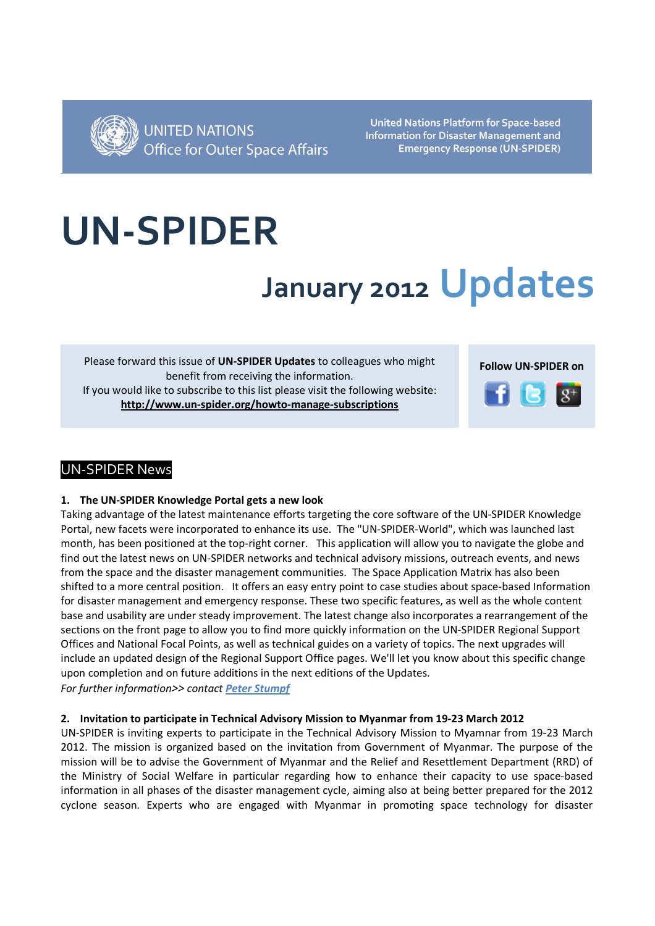**United Nations Platform for Space-based** Information for Disaster Management and **Emergency Response (UN-SPIDER)** 

# UN-SPIDER

# January 2012 Updates

Please forward this issue of UN-SPIDER Updates to colleagues who might benefit from receiving the information. If you would like to subscribe to this list please visit the following website: http://www.un-spider.org/howto-manage-subscriptions



# UN-SPIDER News

# 1. The UN-SPIDER Knowledge Portal gets a new look

Taking advantage of the latest maintenance efforts targeting the core software of the UN-SPIDER Knowledge Portal, new facets were incorporated to enhance its use. The "UN-SPIDER-World", which was launched last month, has been positioned at the top-right corner. This application will allow you to navigate the globe and find out the latest news on UN-SPIDER networks and technical advisory missions, outreach events, and news from the space and the disaster management communities. The Space Application Matrix has also been shifted to a more central position. It offers an easy entry point to case studies about space-based Information for disaster management and emergency response. These two specific features, as well as the whole content base and usability are under steady improvement. The latest change also incorporates a rearrangement of the sections on the front page to allow you to find more quickly information on the UN-SPIDER Regional Support Offices and National Focal Points, as well as technical guides on a variety of topics. The next upgrades will include an updated design of the Regional Support Office pages. We'll let you know about this specific change upon completion and on future additions in the next editions of the Updates.

For further information>> contact Peter Stumpf

# 2. Invitation to participate in Technical Advisory Mission to Myanmar from 19-23 March 2012

UN-SPIDER is inviting experts to participate in the Technical Advisory Mission to Myamnar from 19-23 March 2012. The mission is organized based on the invitation from Government of Myanmar. The purpose of the mission will be to advise the Government of Myanmar and the Relief and Resettlement Department (RRD) of the Ministry of Social Welfare in particular regarding how to enhance their capacity to use space-based information in all phases of the disaster management cycle, aiming also at being better prepared for the 2012 cyclone season. Experts who are engaged with Myanmar in promoting space technology for disaster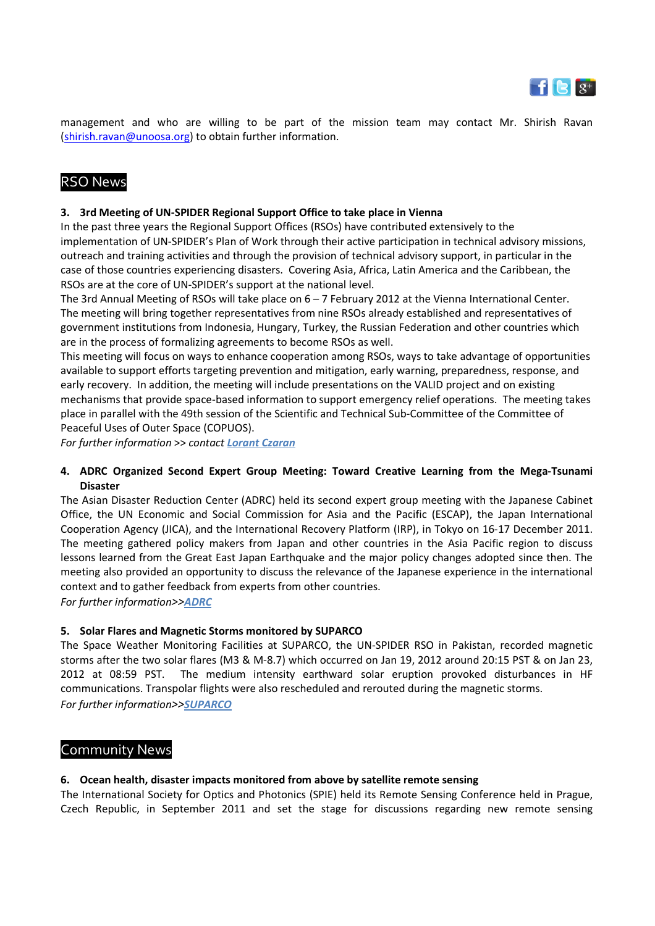

management and who are willing to be part of the mission team may contact Mr. Shirish Ravan (shirish.ravan@unoosa.org) to obtain further information.

# RSO News

# 3. 3rd Meeting of UN-SPIDER Regional Support Office to take place in Vienna

In the past three years the Regional Support Offices (RSOs) have contributed extensively to the implementation of UN-SPIDER's Plan of Work through their active participation in technical advisory missions, outreach and training activities and through the provision of technical advisory support, in particular in the case of those countries experiencing disasters. Covering Asia, Africa, Latin America and the Caribbean, the RSOs are at the core of UN-SPIDER's support at the national level.

The 3rd Annual Meeting of RSOs will take place on  $6 - 7$  February 2012 at the Vienna International Center. The meeting will bring together representatives from nine RSOs already established and representatives of government institutions from Indonesia, Hungary, Turkey, the Russian Federation and other countries which are in the process of formalizing agreements to become RSOs as well.

This meeting will focus on ways to enhance cooperation among RSOs, ways to take advantage of opportunities available to support efforts targeting prevention and mitigation, early warning, preparedness, response, and early recovery. In addition, the meeting will include presentations on the VALID project and on existing mechanisms that provide space-based information to support emergency relief operations. The meeting takes place in parallel with the 49th session of the Scientific and Technical Sub-Committee of the Committee of Peaceful Uses of Outer Space (COPUOS).

For further information >> contact **Lorant Czaran** 

# 4. ADRC Organized Second Expert Group Meeting: Toward Creative Learning from the Mega-Tsunami Disaster

The Asian Disaster Reduction Center (ADRC) held its second expert group meeting with the Japanese Cabinet Office, the UN Economic and Social Commission for Asia and the Pacific (ESCAP), the Japan International Cooperation Agency (JICA), and the International Recovery Platform (IRP), in Tokyo on 16-17 December 2011. The meeting gathered policy makers from Japan and other countries in the Asia Pacific region to discuss lessons learned from the Great East Japan Earthquake and the major policy changes adopted since then. The meeting also provided an opportunity to discuss the relevance of the Japanese experience in the international context and to gather feedback from experts from other countries.

For further information>>ADRC

# 5. Solar Flares and Magnetic Storms monitored by SUPARCO

The Space Weather Monitoring Facilities at SUPARCO, the UN-SPIDER RSO in Pakistan, recorded magnetic storms after the two solar flares (M3 & M-8.7) which occurred on Jan 19, 2012 around 20:15 PST & on Jan 23, 2012 at 08:59 PST. The medium intensity earthward solar eruption provoked disturbances in HF communications. Transpolar flights were also rescheduled and rerouted during the magnetic storms. For further information>>SUPARCO

# Community News

#### 6. Ocean health, disaster impacts monitored from above by satellite remote sensing

The International Society for Optics and Photonics (SPIE) held its Remote Sensing Conference held in Prague, Czech Republic, in September 2011 and set the stage for discussions regarding new remote sensing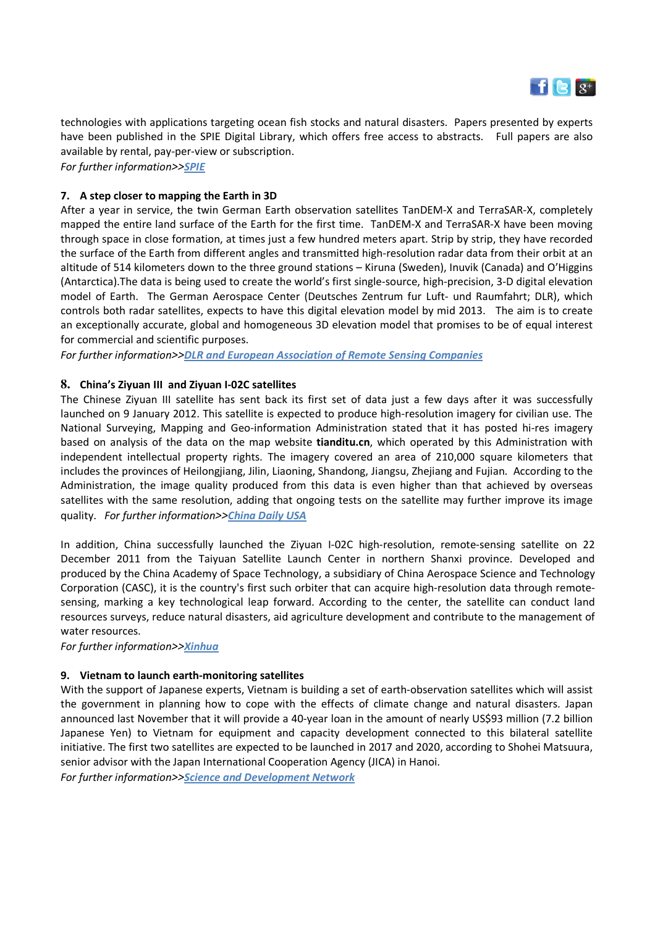

technologies with applications targeting ocean fish stocks and natural disasters. Papers presented by experts have been published in the SPIE Digital Library, which offers free access to abstracts. Full papers are also available by rental, pay-per-view or subscription.

For further information>>SPIE

# 7. A step closer to mapping the Earth in 3D

After a year in service, the twin German Earth observation satellites TanDEM-X and TerraSAR-X, completely mapped the entire land surface of the Earth for the first time. TanDEM-X and TerraSAR-X have been moving through space in close formation, at times just a few hundred meters apart. Strip by strip, they have recorded the surface of the Earth from different angles and transmitted high-resolution radar data from their orbit at an altitude of 514 kilometers down to the three ground stations – Kiruna (Sweden), Inuvik (Canada) and O'Higgins (Antarctica).The data is being used to create the world's first single-source, high-precision, 3-D digital elevation model of Earth. The German Aerospace Center (Deutsches Zentrum fur Luft- und Raumfahrt; DLR), which controls both radar satellites, expects to have this digital elevation model by mid 2013. The aim is to create an exceptionally accurate, global and homogeneous 3D elevation model that promises to be of equal interest for commercial and scientific purposes.

For further information>>DLR and European Association of Remote Sensing Companies

# **8.** China's Ziyuan III and Ziyuan I-02C satellites

The Chinese Ziyuan III satellite has sent back its first set of data just a few days after it was successfully launched on 9 January 2012. This satellite is expected to produce high-resolution imagery for civilian use. The National Surveying, Mapping and Geo-information Administration stated that it has posted hi-res imagery based on analysis of the data on the map website tianditu.cn, which operated by this Administration with independent intellectual property rights. The imagery covered an area of 210,000 square kilometers that includes the provinces of Heilongjiang, Jilin, Liaoning, Shandong, Jiangsu, Zhejiang and Fujian. According to the Administration, the image quality produced from this data is even higher than that achieved by overseas satellites with the same resolution, adding that ongoing tests on the satellite may further improve its image quality. For further information>>China Daily USA

In addition, China successfully launched the Ziyuan I-02C high-resolution, remote-sensing satellite on 22 December 2011 from the Taiyuan Satellite Launch Center in northern Shanxi province. Developed and produced by the China Academy of Space Technology, a subsidiary of China Aerospace Science and Technology Corporation (CASC), it is the country's first such orbiter that can acquire high-resolution data through remotesensing, marking a key technological leap forward. According to the center, the satellite can conduct land resources surveys, reduce natural disasters, aid agriculture development and contribute to the management of water resources.

For further information>>Xinhua

# 9. Vietnam to launch earth-monitoring satellites

With the support of Japanese experts, Vietnam is building a set of earth-observation satellites which will assist the government in planning how to cope with the effects of climate change and natural disasters. Japan announced last November that it will provide a 40-year loan in the amount of nearly US\$93 million (7.2 billion Japanese Yen) to Vietnam for equipment and capacity development connected to this bilateral satellite initiative. The first two satellites are expected to be launched in 2017 and 2020, according to Shohei Matsuura, senior advisor with the Japan International Cooperation Agency (JICA) in Hanoi.

For further information>>Science and Development Network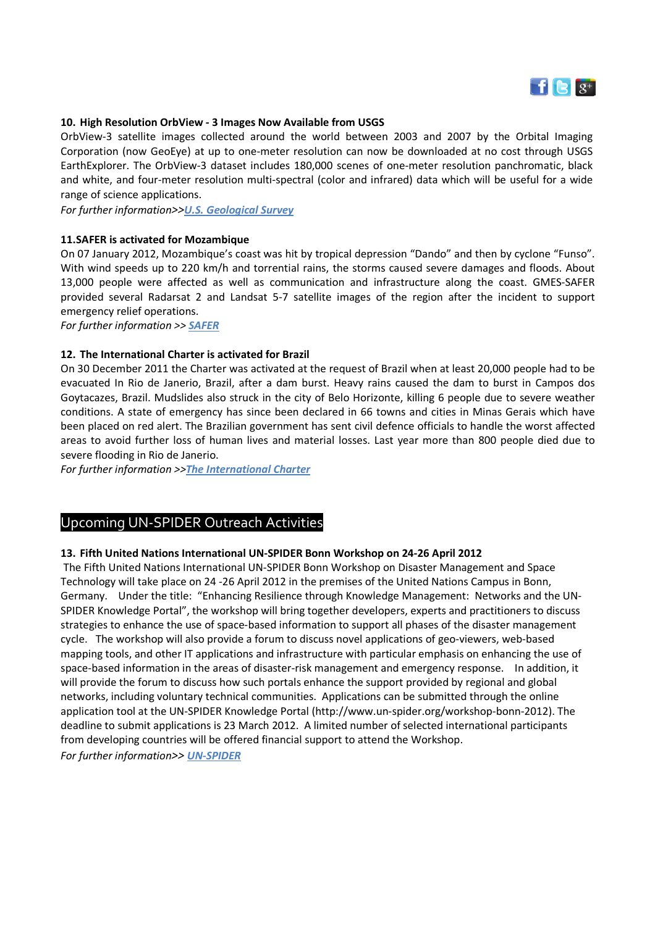

# 10. High Resolution OrbView - 3 Images Now Available from USGS

OrbView-3 satellite images collected around the world between 2003 and 2007 by the Orbital Imaging Corporation (now GeoEye) at up to one-meter resolution can now be downloaded at no cost through USGS EarthExplorer. The OrbView-3 dataset includes 180,000 scenes of one-meter resolution panchromatic, black and white, and four-meter resolution multi-spectral (color and infrared) data which will be useful for a wide range of science applications.

For further information>>U.S. Geological Survey

# 11.SAFER is activated for Mozambique

On 07 January 2012, Mozambique's coast was hit by tropical depression "Dando" and then by cyclone "Funso". With wind speeds up to 220 km/h and torrential rains, the storms caused severe damages and floods. About 13,000 people were affected as well as communication and infrastructure along the coast. GMES-SAFER provided several Radarsat 2 and Landsat 5-7 satellite images of the region after the incident to support emergency relief operations.

For further information >> **SAFER** 

# 12. The International Charter is activated for Brazil

On 30 December 2011 the Charter was activated at the request of Brazil when at least 20,000 people had to be evacuated In Rio de Janerio, Brazil, after a dam burst. Heavy rains caused the dam to burst in Campos dos Goytacazes, Brazil. Mudslides also struck in the city of Belo Horizonte, killing 6 people due to severe weather conditions. A state of emergency has since been declared in 66 towns and cities in Minas Gerais which have been placed on red alert. The Brazilian government has sent civil defence officials to handle the worst affected areas to avoid further loss of human lives and material losses. Last year more than 800 people died due to severe flooding in Rio de Janerio.

For further information >>The International Charter

# Upcoming UN-SPIDER Outreach Activities

#### 13. Fifth United Nations International UN-SPIDER Bonn Workshop on 24-26 April 2012

 The Fifth United Nations International UN-SPIDER Bonn Workshop on Disaster Management and Space Technology will take place on 24 -26 April 2012 in the premises of the United Nations Campus in Bonn, Germany. Under the title: "Enhancing Resilience through Knowledge Management: Networks and the UN-SPIDER Knowledge Portal", the workshop will bring together developers, experts and practitioners to discuss strategies to enhance the use of space-based information to support all phases of the disaster management cycle. The workshop will also provide a forum to discuss novel applications of geo-viewers, web-based mapping tools, and other IT applications and infrastructure with particular emphasis on enhancing the use of space-based information in the areas of disaster-risk management and emergency response. In addition, it will provide the forum to discuss how such portals enhance the support provided by regional and global networks, including voluntary technical communities. Applications can be submitted through the online application tool at the UN-SPIDER Knowledge Portal (http://www.un-spider.org/workshop-bonn-2012). The deadline to submit applications is 23 March 2012. A limited number of selected international participants from developing countries will be offered financial support to attend the Workshop. For further information>> UN-SPIDER